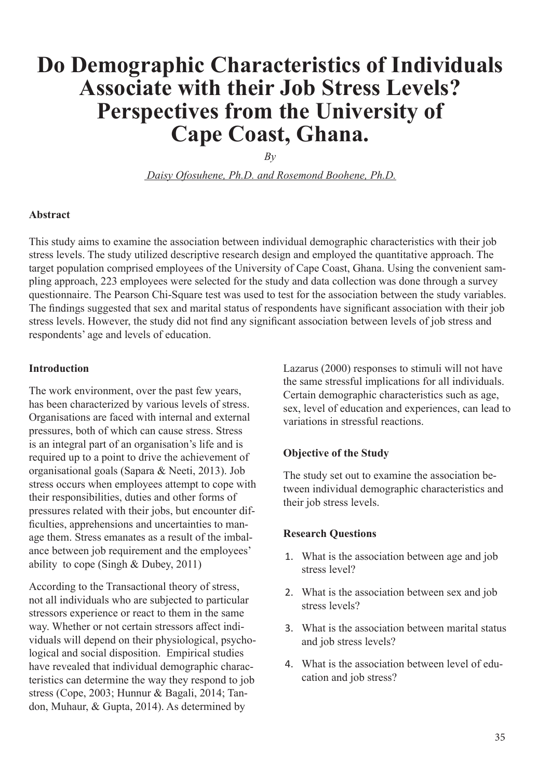# **Do Demographic Characteristics of Individuals Associate with their Job Stress Levels? Perspectives from the University of Cape Coast, Ghana.**

*By*

 *Daisy Ofosuhene, Ph.D. and Rosemond Boohene, Ph.D.*

#### **Abstract**

This study aims to examine the association between individual demographic characteristics with their job stress levels. The study utilized descriptive research design and employed the quantitative approach. The target population comprised employees of the University of Cape Coast, Ghana. Using the convenient sampling approach, 223 employees were selected for the study and data collection was done through a survey questionnaire. The Pearson Chi-Square test was used to test for the association between the study variables. The findings suggested that sex and marital status of respondents have significant association with their job stress levels. However, the study did not find any significant association between levels of job stress and respondents' age and levels of education.

#### **Introduction**

The work environment, over the past few years, has been characterized by various levels of stress. Organisations are faced with internal and external pressures, both of which can cause stress. Stress is an integral part of an organisation's life and is required up to a point to drive the achievement of organisational goals (Sapara & Neeti, 2013). Job stress occurs when employees attempt to cope with their responsibilities, duties and other forms of pressures related with their jobs, but encounter difficulties, apprehensions and uncertainties to manage them. Stress emanates as a result of the imbalance between job requirement and the employees' ability to cope (Singh & Dubey, 2011)

According to the Transactional theory of stress, not all individuals who are subjected to particular stressors experience or react to them in the same way. Whether or not certain stressors affect individuals will depend on their physiological, psychological and social disposition. Empirical studies have revealed that individual demographic characteristics can determine the way they respond to job stress (Cope, 2003; Hunnur & Bagali, 2014; Tandon, Muhaur, & Gupta, 2014). As determined by

Lazarus (2000) responses to stimuli will not have the same stressful implications for all individuals. Certain demographic characteristics such as age, sex, level of education and experiences, can lead to variations in stressful reactions.

#### **Objective of the Study**

The study set out to examine the association between individual demographic characteristics and their job stress levels.

#### **Research Questions**

- 1. What is the association between age and job stress level?
- 2. What is the association between sex and job stress levels?
- 3. What is the association between marital status and job stress levels?
- 4. What is the association between level of education and job stress?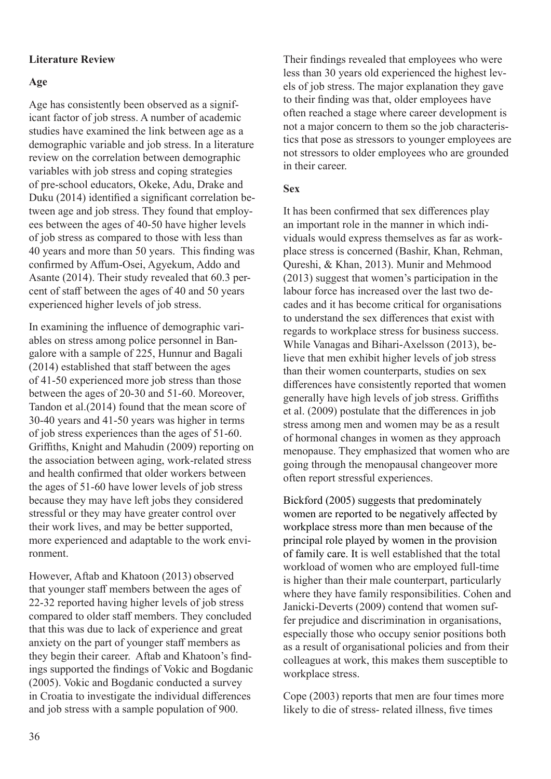# **Literature Review**

# **Age**

Age has consistently been observed as a significant factor of job stress. A number of academic studies have examined the link between age as a demographic variable and job stress. In a literature review on the correlation between demographic variables with job stress and coping strategies of pre-school educators, Okeke, Adu, Drake and Duku (2014) identified a significant correlation between age and job stress. They found that employees between the ages of 40-50 have higher levels of job stress as compared to those with less than 40 years and more than 50 years. This finding was confirmed by Affum-Osei, Agyekum, Addo and Asante (2014). Their study revealed that 60.3 percent of staff between the ages of 40 and 50 years experienced higher levels of job stress.

In examining the influence of demographic variables on stress among police personnel in Bangalore with a sample of 225, Hunnur and Bagali (2014) established that staff between the ages of 41-50 experienced more job stress than those between the ages of 20-30 and 51-60. Moreover, Tandon et al.(2014) found that the mean score of 30-40 years and 41-50 years was higher in terms of job stress experiences than the ages of 51-60. Griffiths, Knight and Mahudin (2009) reporting on the association between aging, work-related stress and health confirmed that older workers between the ages of 51-60 have lower levels of job stress because they may have left jobs they considered stressful or they may have greater control over their work lives, and may be better supported, more experienced and adaptable to the work environment.

However, Aftab and Khatoon (2013) observed that younger staff members between the ages of 22-32 reported having higher levels of job stress compared to older staff members. They concluded that this was due to lack of experience and great anxiety on the part of younger staff members as they begin their career. Aftab and Khatoon's findings supported the findings of Vokic and Bogdanic (2005). Vokic and Bogdanic conducted a survey in Croatia to investigate the individual differences and job stress with a sample population of 900.

Their findings revealed that employees who were less than 30 years old experienced the highest levels of job stress. The major explanation they gave to their finding was that, older employees have often reached a stage where career development is not a major concern to them so the job characteristics that pose as stressors to younger employees are not stressors to older employees who are grounded in their career.

# **Sex**

It has been confirmed that sex differences play an important role in the manner in which individuals would express themselves as far as workplace stress is concerned (Bashir, Khan, Rehman, Qureshi, & Khan, 2013). Munir and Mehmood (2013) suggest that women's participation in the labour force has increased over the last two decades and it has become critical for organisations to understand the sex differences that exist with regards to workplace stress for business success. While Vanagas and Bihari-Axelsson (2013), believe that men exhibit higher levels of job stress than their women counterparts, studies on sex differences have consistently reported that women generally have high levels of job stress. Griffiths et al. (2009) postulate that the differences in job stress among men and women may be as a result of hormonal changes in women as they approach menopause. They emphasized that women who are going through the menopausal changeover more often report stressful experiences.

Bickford (2005) suggests that predominately women are reported to be negatively affected by workplace stress more than men because of the principal role played by women in the provision of family care. It is well established that the total workload of women who are employed full-time is higher than their male counterpart, particularly where they have family responsibilities. Cohen and Janicki-Deverts (2009) contend that women suffer prejudice and discrimination in organisations, especially those who occupy senior positions both as a result of organisational policies and from their colleagues at work, this makes them susceptible to workplace stress.

Cope (2003) reports that men are four times more likely to die of stress- related illness, five times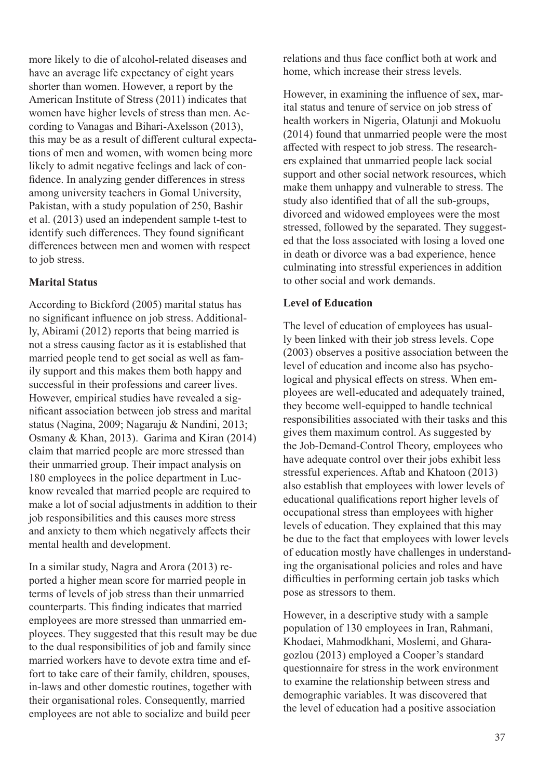more likely to die of alcohol-related diseases and have an average life expectancy of eight years shorter than women. However, a report by the American Institute of Stress (2011) indicates that women have higher levels of stress than men. According to Vanagas and Bihari-Axelsson (2013), this may be as a result of different cultural expectations of men and women, with women being more likely to admit negative feelings and lack of confidence. In analyzing gender differences in stress among university teachers in Gomal University, Pakistan, with a study population of 250, Bashir et al. (2013) used an independent sample t-test to identify such differences. They found significant differences between men and women with respect to job stress.

# **Marital Status**

According to Bickford (2005) marital status has no significant influence on job stress. Additionally, Abirami (2012) reports that being married is not a stress causing factor as it is established that married people tend to get social as well as family support and this makes them both happy and successful in their professions and career lives. However, empirical studies have revealed a significant association between job stress and marital status (Nagina, 2009; Nagaraju & Nandini, 2013; Osmany & Khan, 2013). Garima and Kiran (2014) claim that married people are more stressed than their unmarried group. Their impact analysis on 180 employees in the police department in Lucknow revealed that married people are required to make a lot of social adjustments in addition to their job responsibilities and this causes more stress and anxiety to them which negatively affects their mental health and development.

In a similar study, Nagra and Arora (2013) reported a higher mean score for married people in terms of levels of job stress than their unmarried counterparts. This finding indicates that married employees are more stressed than unmarried employees. They suggested that this result may be due to the dual responsibilities of job and family since married workers have to devote extra time and effort to take care of their family, children, spouses, in-laws and other domestic routines, together with their organisational roles. Consequently, married employees are not able to socialize and build peer

relations and thus face conflict both at work and home, which increase their stress levels.

However, in examining the influence of sex, marital status and tenure of service on job stress of health workers in Nigeria, Olatunji and Mokuolu (2014) found that unmarried people were the most affected with respect to job stress. The researchers explained that unmarried people lack social support and other social network resources, which make them unhappy and vulnerable to stress. The study also identified that of all the sub-groups, divorced and widowed employees were the most stressed, followed by the separated. They suggested that the loss associated with losing a loved one in death or divorce was a bad experience, hence culminating into stressful experiences in addition to other social and work demands.

### **Level of Education**

The level of education of employees has usually been linked with their job stress levels. Cope (2003) observes a positive association between the level of education and income also has psychological and physical effects on stress. When employees are well-educated and adequately trained, they become well-equipped to handle technical responsibilities associated with their tasks and this gives them maximum control. As suggested by the Job-Demand-Control Theory, employees who have adequate control over their jobs exhibit less stressful experiences. Aftab and Khatoon (2013) also establish that employees with lower levels of educational qualifications report higher levels of occupational stress than employees with higher levels of education. They explained that this may be due to the fact that employees with lower levels of education mostly have challenges in understanding the organisational policies and roles and have difficulties in performing certain job tasks which pose as stressors to them.

However, in a descriptive study with a sample population of 130 employees in Iran, Rahmani, Khodaei, Mahmodkhani, Moslemi, and Gharagozlou (2013) employed a Cooper's standard questionnaire for stress in the work environment to examine the relationship between stress and demographic variables. It was discovered that the level of education had a positive association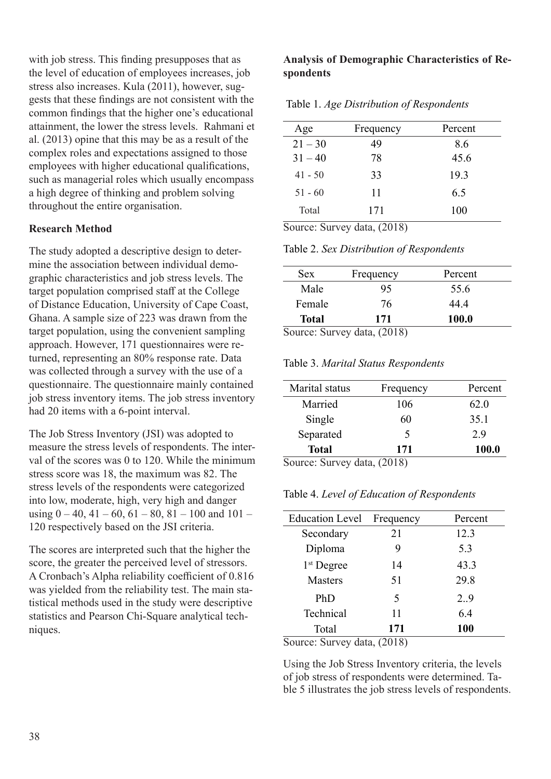with job stress. This finding presupposes that as the level of education of employees increases, job stress also increases. Kula (2011), however, suggests that these findings are not consistent with the common findings that the higher one's educational attainment, the lower the stress levels. Rahmani et al. (2013) opine that this may be as a result of the complex roles and expectations assigned to those employees with higher educational qualifications, such as managerial roles which usually encompass a high degree of thinking and problem solving throughout the entire organisation.

### **Research Method**

The study adopted a descriptive design to determine the association between individual demographic characteristics and job stress levels. The target population comprised staff at the College of Distance Education, University of Cape Coast, Ghana. A sample size of 223 was drawn from the target population, using the convenient sampling approach. However, 171 questionnaires were returned, representing an 80% response rate. Data was collected through a survey with the use of a questionnaire. The questionnaire mainly contained job stress inventory items. The job stress inventory had 20 items with a 6-point interval.

The Job Stress Inventory (JSI) was adopted to measure the stress levels of respondents. The interval of the scores was 0 to 120. While the minimum stress score was 18, the maximum was 82. The stress levels of the respondents were categorized into low, moderate, high, very high and danger using  $0 - 40$ ,  $41 - 60$ ,  $61 - 80$ ,  $81 - 100$  and  $101 -$ 120 respectively based on the JSI criteria.

The scores are interpreted such that the higher the score, the greater the perceived level of stressors. A Cronbach's Alpha reliability coefficient of 0.816 was yielded from the reliability test. The main statistical methods used in the study were descriptive statistics and Pearson Chi-Square analytical techniques.

### **Analysis of Demographic Characteristics of Respondents**

| Table 1. Age Distribution of Respondents |  |  |
|------------------------------------------|--|--|
|------------------------------------------|--|--|

| Age       | Frequency | Percent |
|-----------|-----------|---------|
| $21 - 30$ | 49        | 8.6     |
| $31 - 40$ | 78        | 45.6    |
| $41 - 50$ | 33        | 19.3    |
| $51 - 60$ | 11        | 6.5     |
| Total     | 171       | 100     |

Source: Survey data, (2018)

Table 2. *Sex Distribution of Respondents*

| <b>Sex</b>             | Frequency          | Percent |
|------------------------|--------------------|---------|
| Male                   | 95                 | 55.6    |
| Female                 | 76                 | 44.4    |
| <b>Total</b>           | 171                | 100.0   |
| $\sim$<br>. <b>. 0</b> | $  1$ $+$ $(2010)$ |         |

Source: Survey data, (2018)

Table 3. *Marital Status Respondents*

| Marital status    | Frequency | Percent |
|-------------------|-----------|---------|
| Married           | 106       | 62.0    |
| Single            | 60        | 35.1    |
| Separated         | 5         | 2.9     |
| <b>Total</b>      | 171       | 100.0   |
| . O. 1 . <i>.</i> | (2010)    |         |

Source: Survey data, (2018)

Table 4. *Level of Education of Respondents*

| <b>Education Level</b>              | Frequency | Percent |
|-------------------------------------|-----------|---------|
| Secondary                           | 21        | 12.3    |
| Diploma                             | 9         | 5.3     |
| 1 <sup>st</sup> Degree              | 14        | 43.3    |
| <b>Masters</b>                      | 51        | 29.8    |
| PhD                                 | 5         | 2.9     |
| Technical                           | 11        | 6.4     |
| Total                               | 171       | 100     |
| $0 \rightarrow 0$ $0 \rightarrow 0$ |           |         |

Source: Survey data, (2018)

Using the Job Stress Inventory criteria, the levels of job stress of respondents were determined. Table 5 illustrates the job stress levels of respondents.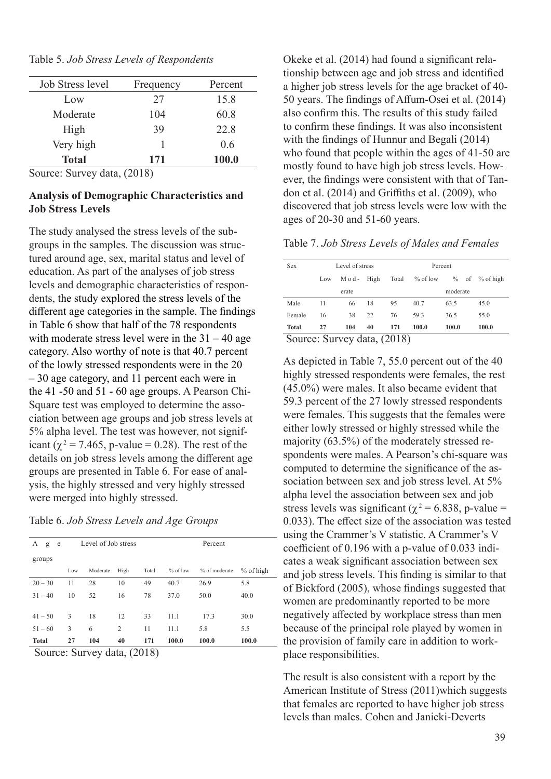| Table 5. Job Stress Levels of Respondents |  |  |  |
|-------------------------------------------|--|--|--|
|-------------------------------------------|--|--|--|

| Job Stress level | Frequency | Percent |
|------------------|-----------|---------|
| Low              | 27        | 15.8    |
| Moderate         | 104       | 60.8    |
| High             | 39        | 22.8    |
| Very high        |           | 0.6     |
| <b>Total</b>     | 171       | 100.0   |

Source: Survey data, (2018)

### **Analysis of Demographic Characteristics and Job Stress Levels**

The study analysed the stress levels of the subgroups in the samples. The discussion was structured around age, sex, marital status and level of education. As part of the analyses of job stress levels and demographic characteristics of respondents, the study explored the stress levels of the different age categories in the sample. The findings in Table 6 show that half of the 78 respondents with moderate stress level were in the  $31 - 40$  age category. Also worthy of note is that 40.7 percent of the lowly stressed respondents were in the 20 – 30 age category, and 11 percent each were in the 41 -50 and 51 - 60 age groups. A Pearson Chi-Square test was employed to determine the association between age groups and job stress levels at 5% alpha level. The test was however, not significant ( $\chi^2$  = 7.465, p-value = 0.28). The rest of the details on job stress levels among the different age groups are presented in Table 6. For ease of analysis, the highly stressed and very highly stressed were merged into highly stressed.

Table 6. *Job Stress Levels and Age Groups*

| А<br>g<br>e  | Level of Job stress<br>Percent |          |      |       |            |               |             |
|--------------|--------------------------------|----------|------|-------|------------|---------------|-------------|
| groups       |                                |          |      |       |            |               |             |
|              | Low                            | Moderate | High | Total | $%$ of low | % of moderate | $%$ of high |
| $20 - 30$    | 11                             | 28       | 10   | 49    | 40.7       | 26.9          | 5.8         |
| $31 - 40$    | 10                             | 52       | 16   | 78    | 37.0       | 50.0          | 40.0        |
|              |                                |          |      |       |            |               |             |
| $41 - 50$    | 3                              | 18       | 12   | 33    | 11.1       | 17.3          | 30.0        |
| $51 - 60$    | 3                              | 6        | 2    | 11    | 11.1       | 5.8           | 5.5         |
| <b>Total</b> | 27                             | 104      | 40   | 171   | 100.0      | 100.0         | 100.0       |

Source: Survey data, (2018)

Okeke et al. (2014) had found a significant relationship between age and job stress and identified a higher job stress levels for the age bracket of 40- 50 years. The findings of Affum-Osei et al. (2014) also confirm this. The results of this study failed to confirm these findings. It was also inconsistent with the findings of Hunnur and Begali (2014) who found that people within the ages of 41-50 are mostly found to have high job stress levels. However, the findings were consistent with that of Tandon et al. (2014) and Griffiths et al. (2009), who discovered that job stress levels were low with the ages of 20-30 and 51-60 years.

Table 7. *Job Stress Levels of Males and Females*

| <b>Sex</b>                  |     | Level of stress |      |       | Percent    |          |  |                  |
|-----------------------------|-----|-----------------|------|-------|------------|----------|--|------------------|
|                             | Low | $M$ o d -       | High | Total | $%$ of low |          |  | $%$ of % of high |
|                             |     | erate           |      |       |            | moderate |  |                  |
| Male                        | 11  | 66              | 18   | 95    | 40.7       | 63.5     |  | 45.0             |
| Female                      | 16  | 38              | 22   | 76    | 59.3       | 36.5     |  | 55.0             |
| <b>Total</b>                | 27  | 104             | 40   | 171   | 100.0      | 100.0    |  | 100.0            |
| Source: Survey data, (2018) |     |                 |      |       |            |          |  |                  |

As depicted in Table 7, 55.0 percent out of the 40 highly stressed respondents were females, the rest (45.0%) were males. It also became evident that 59.3 percent of the 27 lowly stressed respondents were females. This suggests that the females were either lowly stressed or highly stressed while the majority (63.5%) of the moderately stressed respondents were males. A Pearson's chi-square was computed to determine the significance of the association between sex and job stress level. At 5% alpha level the association between sex and job stress levels was significant ( $\chi^2$  = 6.838, p-value = 0.033). The effect size of the association was tested using the Crammer's V statistic. A Crammer's V coefficient of 0.196 with a p-value of 0.033 indicates a weak significant association between sex and job stress levels. This finding is similar to that of Bickford (2005), whose findings suggested that women are predominantly reported to be more negatively affected by workplace stress than men because of the principal role played by women in the provision of family care in addition to workplace responsibilities.

The result is also consistent with a report by the American Institute of Stress (2011)which suggests that females are reported to have higher job stress levels than males. Cohen and Janicki-Deverts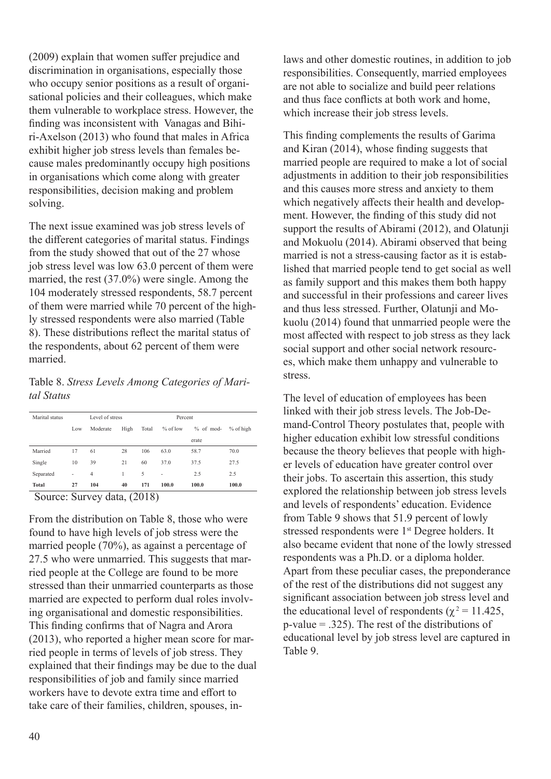(2009) explain that women suffer prejudice and discrimination in organisations, especially those who occupy senior positions as a result of organisational policies and their colleagues, which make them vulnerable to workplace stress. However, the finding was inconsistent with Vanagas and Bihiri-Axelson (2013) who found that males in Africa exhibit higher job stress levels than females because males predominantly occupy high positions in organisations which come along with greater responsibilities, decision making and problem solving.

The next issue examined was job stress levels of the different categories of marital status. Findings from the study showed that out of the 27 whose job stress level was low 63.0 percent of them were married, the rest (37.0%) were single. Among the 104 moderately stressed respondents, 58.7 percent of them were married while 70 percent of the highly stressed respondents were also married (Table 8). These distributions reflect the marital status of the respondents, about 62 percent of them were married.

Table 8. *Stress Levels Among Categories of Marital Status*

| Marital status |                |                | Level of stress<br>Percent |       |                |             |           |
|----------------|----------------|----------------|----------------------------|-------|----------------|-------------|-----------|
|                | Low            | Moderate       | High                       | Total | $%$ of low     | $%$ of mod- | % of high |
|                |                |                |                            |       |                | erate       |           |
| Married        | 17             | 61             | 28                         | 106   | 63.0           | 58.7        | 70.0      |
| Single         | 10             | 39             | 21                         | 60    | 37.0           | 37.5        | 27.5      |
| Separated      | $\overline{a}$ | $\overline{4}$ |                            | 5     | $\overline{a}$ | 2.5         | 2.5       |
| <b>Total</b>   | 27             | 104            | 40                         | 171   | 100.0          | 100.0       | 100.0     |

Source: Survey data, (2018)

From the distribution on Table 8, those who were found to have high levels of job stress were the married people (70%), as against a percentage of 27.5 who were unmarried. This suggests that married people at the College are found to be more stressed than their unmarried counterparts as those married are expected to perform dual roles involving organisational and domestic responsibilities. This finding confirms that of Nagra and Arora (2013), who reported a higher mean score for married people in terms of levels of job stress. They explained that their findings may be due to the dual responsibilities of job and family since married workers have to devote extra time and effort to take care of their families, children, spouses, in-

laws and other domestic routines, in addition to job responsibilities. Consequently, married employees are not able to socialize and build peer relations and thus face conflicts at both work and home, which increase their job stress levels.

This finding complements the results of Garima and Kiran (2014), whose finding suggests that married people are required to make a lot of social adjustments in addition to their job responsibilities and this causes more stress and anxiety to them which negatively affects their health and development. However, the finding of this study did not support the results of Abirami (2012), and Olatunji and Mokuolu (2014). Abirami observed that being married is not a stress-causing factor as it is established that married people tend to get social as well as family support and this makes them both happy and successful in their professions and career lives and thus less stressed. Further, Olatunji and Mokuolu (2014) found that unmarried people were the most affected with respect to job stress as they lack social support and other social network resources, which make them unhappy and vulnerable to stress.

The level of education of employees has been linked with their job stress levels. The Job-Demand-Control Theory postulates that, people with higher education exhibit low stressful conditions because the theory believes that people with higher levels of education have greater control over their jobs. To ascertain this assertion, this study explored the relationship between job stress levels and levels of respondents' education. Evidence from Table 9 shows that 51.9 percent of lowly stressed respondents were 1<sup>st</sup> Degree holders. It also became evident that none of the lowly stressed respondents was a Ph.D. or a diploma holder. Apart from these peculiar cases, the preponderance of the rest of the distributions did not suggest any significant association between job stress level and the educational level of respondents ( $\chi^2$  = 11.425, p-value = .325). The rest of the distributions of educational level by job stress level are captured in Table 9.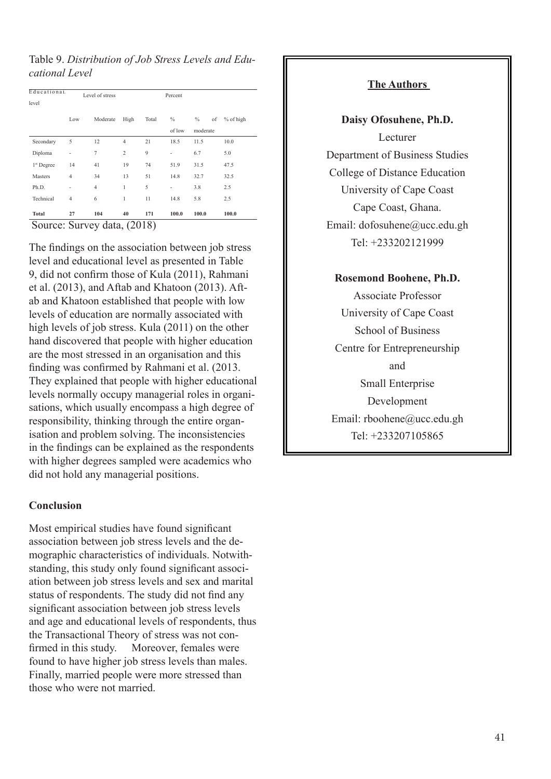Table 9. *Distribution of Job Stress Levels and Educational Level* 

| Educational<br>level        |                | Level of stress |                |       | Percent                  |                     |           |
|-----------------------------|----------------|-----------------|----------------|-------|--------------------------|---------------------|-----------|
|                             |                |                 |                |       |                          |                     |           |
|                             | Low            | Moderate        | High           | Total | $\%$                     | $\frac{0}{0}$<br>of | % of high |
|                             |                |                 |                |       | of low                   | moderate            |           |
| Secondary                   | 5              | 12              | $\overline{4}$ | 21    | 18.5                     | 11.5                | 10.0      |
| Diploma                     | $\overline{a}$ | 7               | $\overline{c}$ | 9     | -                        | 6.7                 | 5.0       |
| 1 <sup>st</sup> Degree      | 14             | 41              | 19             | 74    | 51.9                     | 31.5                | 47.5      |
| Masters                     | $\overline{4}$ | 34              | 13             | 51    | 14.8                     | 32.7                | 32.5      |
| Ph.D.                       |                | $\overline{4}$  | 1              | 5     | $\overline{\phantom{0}}$ | 3.8                 | 2.5       |
| Technical                   | $\overline{4}$ | 6               | 1              | 11    | 14.8                     | 5.8                 | 2.5       |
| <b>Total</b>                | 27             | 104             | 40             | 171   | 100.0                    | 100.0               | 100.0     |
| Source: Survey data, (2018) |                |                 |                |       |                          |                     |           |

The findings on the association between job stress level and educational level as presented in Table 9, did not confirm those of Kula (2011), Rahmani et al. (2013), and Aftab and Khatoon (2013). Aftab and Khatoon established that people with low levels of education are normally associated with high levels of job stress. Kula (2011) on the other hand discovered that people with higher education are the most stressed in an organisation and this finding was confirmed by Rahmani et al. (2013. They explained that people with higher educational levels normally occupy managerial roles in organisations, which usually encompass a high degree of responsibility, thinking through the entire organisation and problem solving. The inconsistencies in the findings can be explained as the respondents with higher degrees sampled were academics who did not hold any managerial positions.

### **Conclusion**

Most empirical studies have found significant association between job stress levels and the demographic characteristics of individuals. Notwithstanding, this study only found significant association between job stress levels and sex and marital status of respondents. The study did not find any significant association between job stress levels and age and educational levels of respondents, thus the Transactional Theory of stress was not confirmed in this study. Moreover, females were found to have higher job stress levels than males. Finally, married people were more stressed than those who were not married.

### **The Authors**

**Daisy Ofosuhene, Ph.D.** Lecturer Department of Business Studies College of Distance Education University of Cape Coast Cape Coast, Ghana. Email: dofosuhene@ucc.edu.gh Tel: +233202121999

# **Rosemond Boohene, Ph.D.**

Associate Professor University of Cape Coast School of Business Centre for Entrepreneurship and Small Enterprise Development Email: rboohene@ucc.edu.gh Tel: +233207105865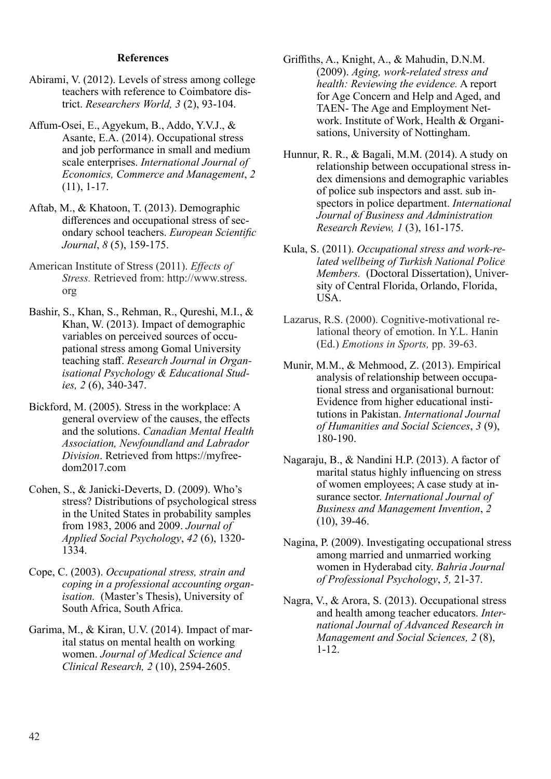#### **References**

- Abirami, V. (2012). Levels of stress among college teachers with reference to Coimbatore district. *Researchers World, 3* (2), 93-104.
- Affum-Osei, E., Agyekum, B., Addo, Y.V.J., & Asante, E.A. (2014). Occupational stress and job performance in small and medium scale enterprises. *International Journal of Economics, Commerce and Management*, *2* (11), 1-17.
- Aftab, M., & Khatoon, T. (2013). Demographic differences and occupational stress of secondary school teachers. *European Scientific Journal*, *8* (5), 159-175.
- American Institute of Stress (2011). *Effects of Stress.* Retrieved from: http://www.stress. org
- Bashir, S., Khan, S., Rehman, R., Qureshi, M.I., & Khan, W. (2013). Impact of demographic variables on perceived sources of occupational stress among Gomal University teaching staff. *Research Journal in Organisational Psychology & Educational Studies, 2* (6), 340-347.
- Bickford, M. (2005). Stress in the workplace: A general overview of the causes, the effects and the solutions. *Canadian Mental Health Association, Newfoundland and Labrador Division*. Retrieved from https://myfreedom2017.com
- Cohen, S., & Janicki-Deverts, D. (2009). Who's stress? Distributions of psychological stress in the United States in probability samples from 1983, 2006 and 2009. *Journal of Applied Social Psychology*, *42* (6), 1320- 1334.
- Cope, C. (2003). *Occupational stress, strain and coping in a professional accounting organisation.* (Master's Thesis), University of South Africa, South Africa.
- Garima, M., & Kiran, U.V. (2014). Impact of marital status on mental health on working women. *Journal of Medical Science and Clinical Research, 2* (10), 2594-2605.
- Griffiths, A., Knight, A., & Mahudin, D.N.M. (2009). *Aging, work-related stress and health: Reviewing the evidence.* A report for Age Concern and Help and Aged, and TAEN- The Age and Employment Network. Institute of Work, Health & Organisations, University of Nottingham.
- Hunnur, R. R., & Bagali, M.M. (2014). A study on relationship between occupational stress index dimensions and demographic variables of police sub inspectors and asst. sub inspectors in police department. *International Journal of Business and Administration Research Review, 1* (3), 161-175.
- Kula, S. (2011). *Occupational stress and work-related wellbeing of Turkish National Police Members.* (Doctoral Dissertation), University of Central Florida, Orlando, Florida, USA.
- Lazarus, R.S. (2000). Cognitive-motivational relational theory of emotion. In Y.L. Hanin (Ed.) *Emotions in Sports,* pp. 39-63.
- Munir, M.M., & Mehmood, Z. (2013). Empirical analysis of relationship between occupational stress and organisational burnout: Evidence from higher educational institutions in Pakistan. *International Journal of Humanities and Social Sciences*, *3* (9), 180-190.
- Nagaraju, B., & Nandini H.P. (2013). A factor of marital status highly influencing on stress of women employees; A case study at insurance sector. *International Journal of Business and Management Invention*, *2* (10), 39-46.
- Nagina, P. (2009). Investigating occupational stress among married and unmarried working women in Hyderabad city. *Bahria Journal of Professional Psychology*, *5,* 21-37.
- Nagra, V., & Arora, S. (2013). Occupational stress and health among teacher educators. *International Journal of Advanced Research in Management and Social Sciences, 2* (8), 1-12.